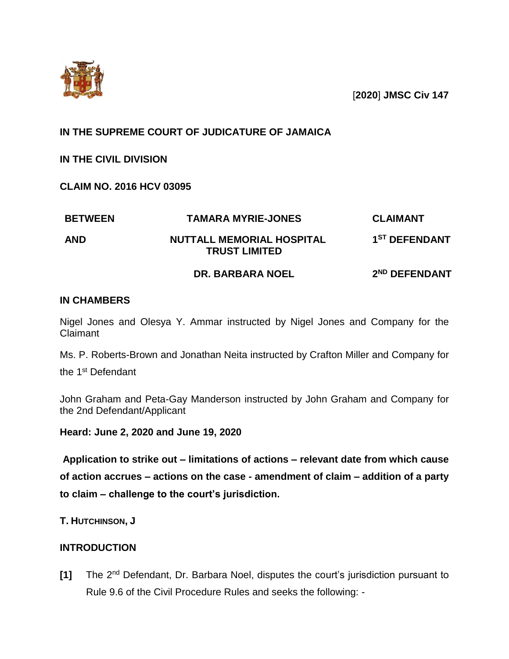

[**2020**] **JMSC Civ 147**

### **IN THE SUPREME COURT OF JUDICATURE OF JAMAICA**

**IN THE CIVIL DIVISION**

**CLAIM NO. 2016 HCV 03095**

| <b>BETWEEN</b> | <b>TAMARA MYRIE-JONES</b>                                | <b>CLAIMANT</b>           |
|----------------|----------------------------------------------------------|---------------------------|
| <b>AND</b>     | <b>NUTTALL MEMORIAL HOSPITAL</b><br><b>TRUST LIMITED</b> | 1 <sup>ST</sup> DEFENDANT |
|                | <b>DR. BARBARA NOEL</b>                                  | 2 <sup>ND</sup> DEFENDANT |

### **IN CHAMBERS**

Nigel Jones and Olesya Y. Ammar instructed by Nigel Jones and Company for the Claimant

Ms. P. Roberts-Brown and Jonathan Neita instructed by Crafton Miller and Company for

the 1st Defendant

John Graham and Peta-Gay Manderson instructed by John Graham and Company for the 2nd Defendant/Applicant

**Heard: June 2, 2020 and June 19, 2020**

**Application to strike out – limitations of actions – relevant date from which cause of action accrues – actions on the case - amendment of claim – addition of a party to claim – challenge to the court's jurisdiction.**

**T. HUTCHINSON, J**

### **INTRODUCTION**

**[1]** The 2nd Defendant, Dr. Barbara Noel, disputes the court's jurisdiction pursuant to Rule 9.6 of the Civil Procedure Rules and seeks the following: -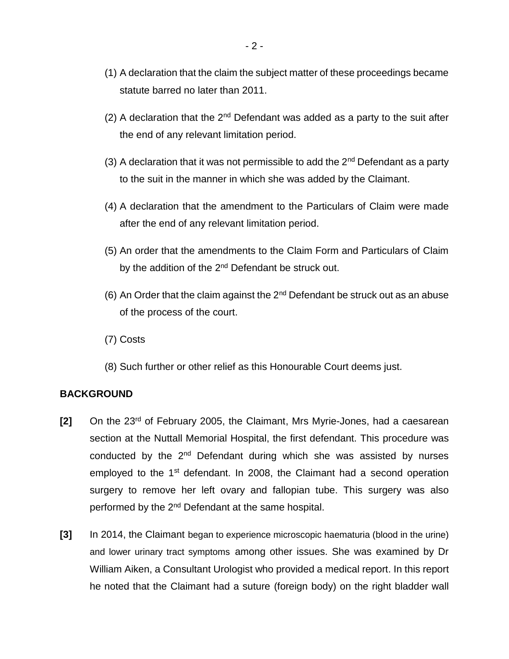- (1) A declaration that the claim the subject matter of these proceedings became statute barred no later than 2011.
- (2) A declaration that the  $2^{nd}$  Defendant was added as a party to the suit after the end of any relevant limitation period.
- (3) A declaration that it was not permissible to add the  $2<sup>nd</sup>$  Defendant as a party to the suit in the manner in which she was added by the Claimant.
- (4) A declaration that the amendment to the Particulars of Claim were made after the end of any relevant limitation period.
- (5) An order that the amendments to the Claim Form and Particulars of Claim by the addition of the 2<sup>nd</sup> Defendant be struck out.
- (6) An Order that the claim against the  $2<sup>nd</sup>$  Defendant be struck out as an abuse of the process of the court.
- (7) Costs
- (8) Such further or other relief as this Honourable Court deems just.

### **BACKGROUND**

- **[2]** On the 23rd of February 2005, the Claimant, Mrs Myrie-Jones, had a caesarean section at the Nuttall Memorial Hospital, the first defendant. This procedure was conducted by the 2<sup>nd</sup> Defendant during which she was assisted by nurses employed to the 1<sup>st</sup> defendant. In 2008, the Claimant had a second operation surgery to remove her left ovary and fallopian tube. This surgery was also performed by the 2<sup>nd</sup> Defendant at the same hospital.
- **[3]** In 2014, the Claimant began to experience microscopic haematuria (blood in the urine) and lower urinary tract symptoms among other issues. She was examined by Dr William Aiken, a Consultant Urologist who provided a medical report. In this report he noted that the Claimant had a suture (foreign body) on the right bladder wall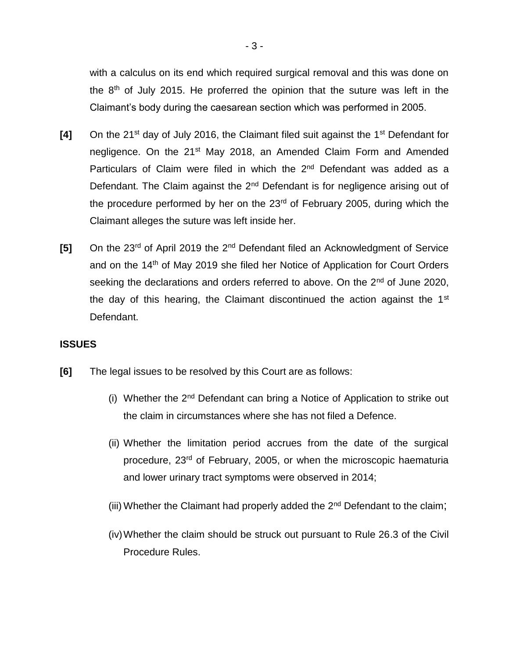with a calculus on its end which required surgical removal and this was done on the 8th of July 2015. He proferred the opinion that the suture was left in the Claimant's body during the caesarean section which was performed in 2005.

- **[4]** On the 21st day of July 2016, the Claimant filed suit against the 1st Defendant for negligence. On the 21<sup>st</sup> May 2018, an Amended Claim Form and Amended Particulars of Claim were filed in which the 2<sup>nd</sup> Defendant was added as a Defendant. The Claim against the  $2<sup>nd</sup>$  Defendant is for negligence arising out of the procedure performed by her on the 23<sup>rd</sup> of February 2005, during which the Claimant alleges the suture was left inside her.
- **[5]** On the 23rd of April 2019 the 2nd Defendant filed an Acknowledgment of Service and on the 14<sup>th</sup> of May 2019 she filed her Notice of Application for Court Orders seeking the declarations and orders referred to above. On the 2<sup>nd</sup> of June 2020, the day of this hearing, the Claimant discontinued the action against the  $1<sup>st</sup>$ Defendant.

### **ISSUES**

- **[6]** The legal issues to be resolved by this Court are as follows:
	- (i) Whether the  $2^{nd}$  Defendant can bring a Notice of Application to strike out the claim in circumstances where she has not filed a Defence.
	- (ii) Whether the limitation period accrues from the date of the surgical procedure, 23<sup>rd</sup> of February, 2005, or when the microscopic haematuria and lower urinary tract symptoms were observed in 2014;
	- (iii) Whether the Claimant had properly added the  $2<sup>nd</sup>$  Defendant to the claim;
	- (iv)Whether the claim should be struck out pursuant to Rule 26.3 of the Civil Procedure Rules.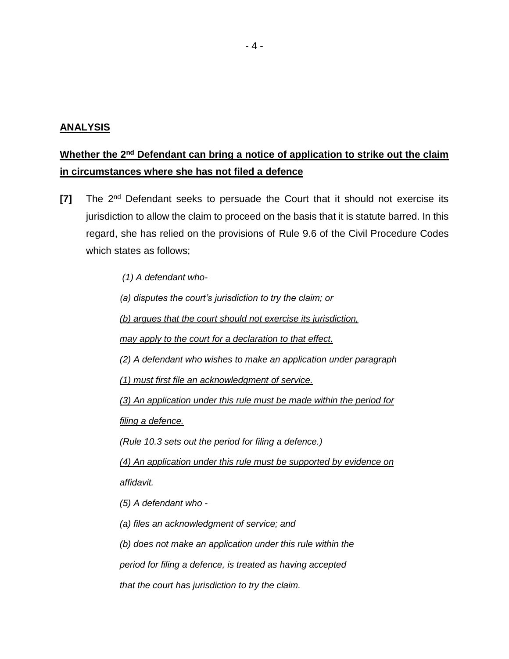### **ANALYSIS**

# **Whether the 2nd Defendant can bring a notice of application to strike out the claim in circumstances where she has not filed a defence**

**[7]** The 2nd Defendant seeks to persuade the Court that it should not exercise its jurisdiction to allow the claim to proceed on the basis that it is statute barred. In this regard, she has relied on the provisions of Rule 9.6 of the Civil Procedure Codes which states as follows;

*(1) A defendant who-*

*(a) disputes the court's jurisdiction to try the claim; or*

*(b) argues that the court should not exercise its jurisdiction,*

*may apply to the court for a declaration to that effect.*

*(2) A defendant who wishes to make an application under paragraph*

*(1) must first file an acknowledgment of service.*

*(3) An application under this rule must be made within the period for*

*filing a defence.*

*(Rule 10.3 sets out the period for filing a defence.)*

*(4) An application under this rule must be supported by evidence on affidavit.*

*(5) A defendant who -*

*(a) files an acknowledgment of service; and*

*(b) does not make an application under this rule within the*

*period for filing a defence, is treated as having accepted*

*that the court has jurisdiction to try the claim.*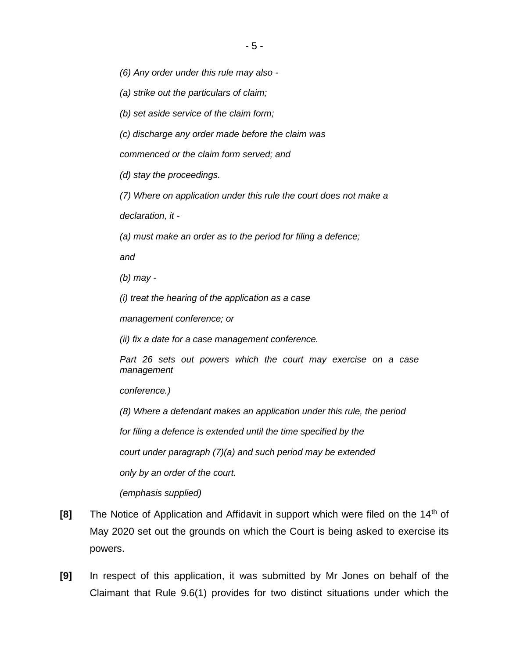*(6) Any order under this rule may also -*

*(a) strike out the particulars of claim;*

*(b) set aside service of the claim form;*

*(c) discharge any order made before the claim was*

*commenced or the claim form served; and*

*(d) stay the proceedings.*

*(7) Where on application under this rule the court does not make a*

*declaration, it -*

*(a) must make an order as to the period for filing a defence;*

*and*

*(b) may -*

*(i) treat the hearing of the application as a case*

*management conference; or*

*(ii) fix a date for a case management conference.*

*Part 26 sets out powers which the court may exercise on a case management*

*conference.)*

*(8) Where a defendant makes an application under this rule, the period*

*for filing a defence is extended until the time specified by the*

*court under paragraph (7)(a) and such period may be extended*

*only by an order of the court.*

*(emphasis supplied)*

- **[8]** The Notice of Application and Affidavit in support which were filed on the 14<sup>th</sup> of May 2020 set out the grounds on which the Court is being asked to exercise its powers.
- **[9]** In respect of this application, it was submitted by Mr Jones on behalf of the Claimant that Rule 9.6(1) provides for two distinct situations under which the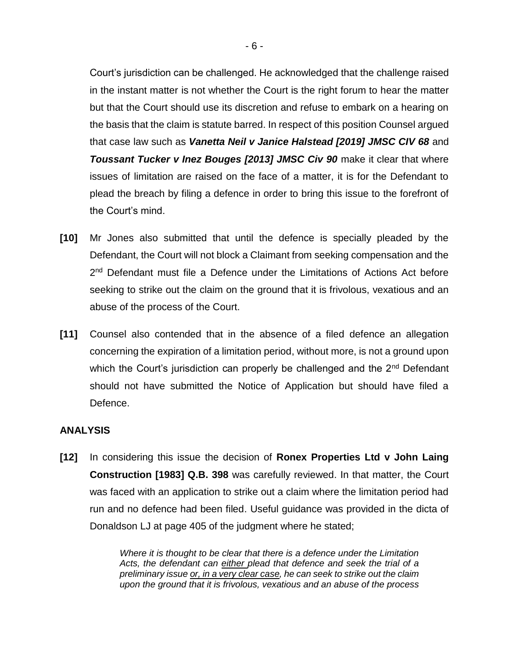Court's jurisdiction can be challenged. He acknowledged that the challenge raised in the instant matter is not whether the Court is the right forum to hear the matter but that the Court should use its discretion and refuse to embark on a hearing on the basis that the claim is statute barred. In respect of this position Counsel argued that case law such as *Vanetta Neil v Janice Halstead [2019] JMSC CIV 68* and *Toussant Tucker v Inez Bouges [2013] JMSC Civ 90* make it clear that where issues of limitation are raised on the face of a matter, it is for the Defendant to plead the breach by filing a defence in order to bring this issue to the forefront of the Court's mind.

- **[10]** Mr Jones also submitted that until the defence is specially pleaded by the Defendant, the Court will not block a Claimant from seeking compensation and the 2<sup>nd</sup> Defendant must file a Defence under the Limitations of Actions Act before seeking to strike out the claim on the ground that it is frivolous, vexatious and an abuse of the process of the Court.
- **[11]** Counsel also contended that in the absence of a filed defence an allegation concerning the expiration of a limitation period, without more, is not a ground upon which the Court's jurisdiction can properly be challenged and the 2<sup>nd</sup> Defendant should not have submitted the Notice of Application but should have filed a Defence.

### **ANALYSIS**

**[12]** In considering this issue the decision of **Ronex Properties Ltd v John Laing Construction [1983] Q.B. 398** was carefully reviewed. In that matter, the Court was faced with an application to strike out a claim where the limitation period had run and no defence had been filed. Useful guidance was provided in the dicta of Donaldson LJ at page 405 of the judgment where he stated;

> *Where it is thought to be clear that there is a defence under the Limitation Acts, the defendant can either plead that defence and seek the trial of a preliminary issue or, in a very clear case, he can seek to strike out the claim upon the ground that it is frivolous, vexatious and an abuse of the process*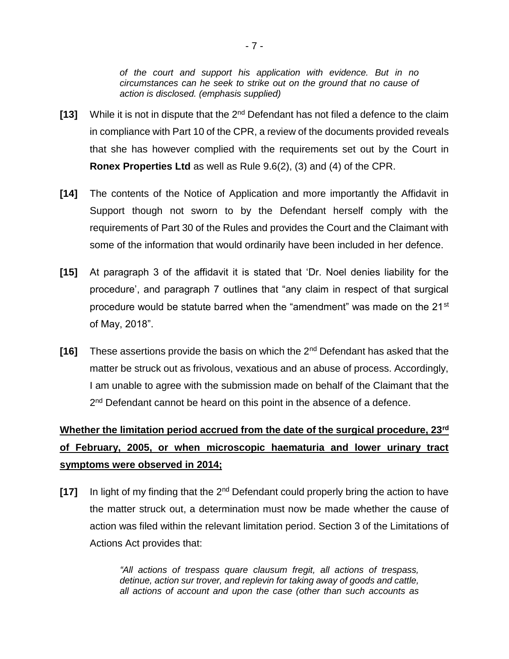*of the court and support his application with evidence. But in no circumstances can he seek to strike out on the ground that no cause of action is disclosed. (emphasis supplied)*

- **[13]** While it is not in dispute that the 2nd Defendant has not filed a defence to the claim in compliance with Part 10 of the CPR, a review of the documents provided reveals that she has however complied with the requirements set out by the Court in **Ronex Properties Ltd** as well as Rule 9.6(2), (3) and (4) of the CPR.
- **[14]** The contents of the Notice of Application and more importantly the Affidavit in Support though not sworn to by the Defendant herself comply with the requirements of Part 30 of the Rules and provides the Court and the Claimant with some of the information that would ordinarily have been included in her defence.
- **[15]** At paragraph 3 of the affidavit it is stated that 'Dr. Noel denies liability for the procedure', and paragraph 7 outlines that "any claim in respect of that surgical procedure would be statute barred when the "amendment" was made on the 21<sup>st</sup> of May, 2018".
- **[16]** These assertions provide the basis on which the 2nd Defendant has asked that the matter be struck out as frivolous, vexatious and an abuse of process. Accordingly, I am unable to agree with the submission made on behalf of the Claimant that the 2<sup>nd</sup> Defendant cannot be heard on this point in the absence of a defence.

# **Whether the limitation period accrued from the date of the surgical procedure, 23rd of February, 2005, or when microscopic haematuria and lower urinary tract symptoms were observed in 2014;**

**[17]** In light of my finding that the 2nd Defendant could properly bring the action to have the matter struck out, a determination must now be made whether the cause of action was filed within the relevant limitation period. Section 3 of the Limitations of Actions Act provides that:

> *"All actions of trespass quare clausum fregit, all actions of trespass, detinue, action sur trover, and replevin for taking away of goods and cattle, all actions of account and upon the case (other than such accounts as*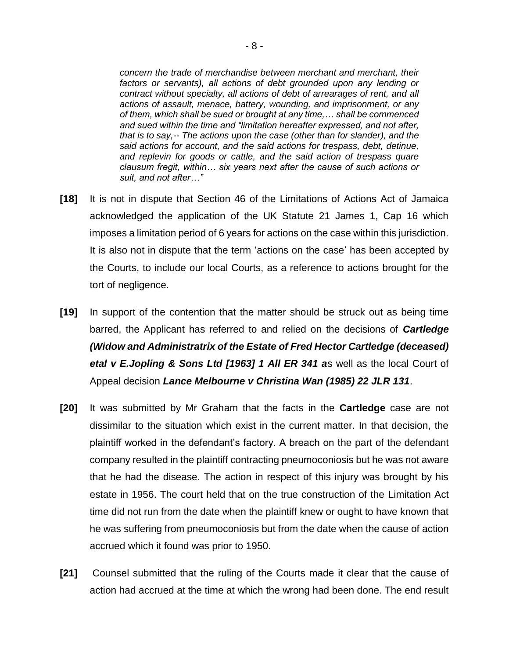*concern the trade of merchandise between merchant and merchant, their*  factors or servants), all actions of debt grounded upon any lending or *contract without specialty, all actions of debt of arrearages of rent, and all actions of assault, menace, battery, wounding, and imprisonment, or any of them, which shall be sued or brought at any time,… shall be commenced and sued within the time and "limitation hereafter expressed, and not after, that is to say,-- The actions upon the case (other than for slander), and the said actions for account, and the said actions for trespass, debt, detinue, and replevin for goods or cattle, and the said action of trespass quare clausum fregit, within… six years next after the cause of such actions or suit, and not after…"*

- **[18]** It is not in dispute that Section 46 of the Limitations of Actions Act of Jamaica acknowledged the application of the UK Statute 21 James 1, Cap 16 which imposes a limitation period of 6 years for actions on the case within this jurisdiction. It is also not in dispute that the term 'actions on the case' has been accepted by the Courts, to include our local Courts, as a reference to actions brought for the tort of negligence.
- **[19]** In support of the contention that the matter should be struck out as being time barred, the Applicant has referred to and relied on the decisions of *Cartledge (Widow and Administratrix of the Estate of Fred Hector Cartledge (deceased) etal v E.Jopling & Sons Ltd [1963] 1 All ER 341 a*s well as the local Court of Appeal decision *Lance Melbourne v Christina Wan (1985) 22 JLR 131*.
- **[20]** It was submitted by Mr Graham that the facts in the **Cartledge** case are not dissimilar to the situation which exist in the current matter. In that decision, the plaintiff worked in the defendant's factory. A breach on the part of the defendant company resulted in the plaintiff contracting pneumoconiosis but he was not aware that he had the disease. The action in respect of this injury was brought by his estate in 1956. The court held that on the true construction of the Limitation Act time did not run from the date when the plaintiff knew or ought to have known that he was suffering from pneumoconiosis but from the date when the cause of action accrued which it found was prior to 1950.
- **[21]** Counsel submitted that the ruling of the Courts made it clear that the cause of action had accrued at the time at which the wrong had been done. The end result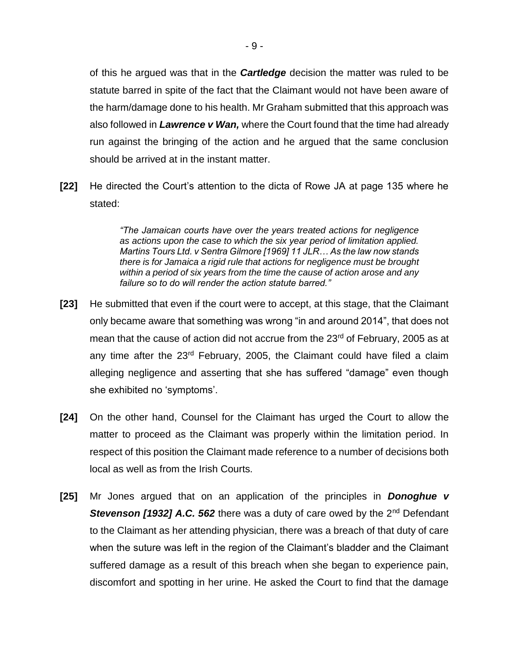of this he argued was that in the *Cartledge* decision the matter was ruled to be statute barred in spite of the fact that the Claimant would not have been aware of the harm/damage done to his health. Mr Graham submitted that this approach was also followed in *Lawrence v Wan,* where the Court found that the time had already run against the bringing of the action and he argued that the same conclusion should be arrived at in the instant matter.

**[22]** He directed the Court's attention to the dicta of Rowe JA at page 135 where he stated:

> *"The Jamaican courts have over the years treated actions for negligence as actions upon the case to which the six year period of limitation applied. Martins Tours Ltd. v Sentra Gilmore [1969] 11 JLR… As the law now stands there is for Jamaica a rigid rule that actions for negligence must be brought within a period of six years from the time the cause of action arose and any failure so to do will render the action statute barred."*

- **[23]** He submitted that even if the court were to accept, at this stage, that the Claimant only became aware that something was wrong "in and around 2014", that does not mean that the cause of action did not accrue from the 23<sup>rd</sup> of February, 2005 as at any time after the  $23<sup>rd</sup>$  February, 2005, the Claimant could have filed a claim alleging negligence and asserting that she has suffered "damage" even though she exhibited no 'symptoms'.
- **[24]** On the other hand, Counsel for the Claimant has urged the Court to allow the matter to proceed as the Claimant was properly within the limitation period. In respect of this position the Claimant made reference to a number of decisions both local as well as from the Irish Courts.
- **[25]** Mr Jones argued that on an application of the principles in *Donoghue v*  **Stevenson [1932] A.C. 562** there was a duty of care owed by the 2<sup>nd</sup> Defendant to the Claimant as her attending physician, there was a breach of that duty of care when the suture was left in the region of the Claimant's bladder and the Claimant suffered damage as a result of this breach when she began to experience pain, discomfort and spotting in her urine. He asked the Court to find that the damage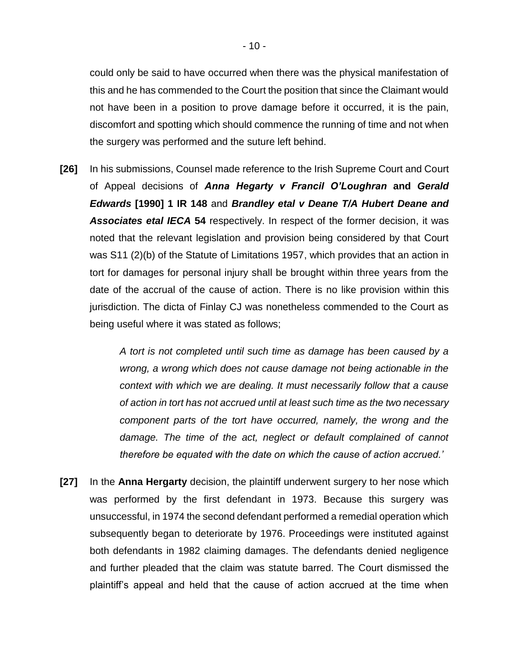could only be said to have occurred when there was the physical manifestation of this and he has commended to the Court the position that since the Claimant would not have been in a position to prove damage before it occurred, it is the pain, discomfort and spotting which should commence the running of time and not when the surgery was performed and the suture left behind.

**[26]** In his submissions, Counsel made reference to the Irish Supreme Court and Court of Appeal decisions of *Anna Hegarty v Francil O'Loughran* **and** *Gerald Edwards* **[1990] 1 IR 148** and *Brandley etal v Deane T/A Hubert Deane and Associates etal IECA* **54** respectively. In respect of the former decision, it was noted that the relevant legislation and provision being considered by that Court was S11 (2)(b) of the Statute of Limitations 1957, which provides that an action in tort for damages for personal injury shall be brought within three years from the date of the accrual of the cause of action. There is no like provision within this jurisdiction. The dicta of Finlay CJ was nonetheless commended to the Court as being useful where it was stated as follows;

> *A tort is not completed until such time as damage has been caused by a wrong, a wrong which does not cause damage not being actionable in the context with which we are dealing. It must necessarily follow that a cause of action in tort has not accrued until at least such time as the two necessary component parts of the tort have occurred, namely, the wrong and the damage. The time of the act, neglect or default complained of cannot therefore be equated with the date on which the cause of action accrued.'*

**[27]** In the **Anna Hergarty** decision, the plaintiff underwent surgery to her nose which was performed by the first defendant in 1973. Because this surgery was unsuccessful, in 1974 the second defendant performed a remedial operation which subsequently began to deteriorate by 1976. Proceedings were instituted against both defendants in 1982 claiming damages. The defendants denied negligence and further pleaded that the claim was statute barred. The Court dismissed the plaintiff's appeal and held that the cause of action accrued at the time when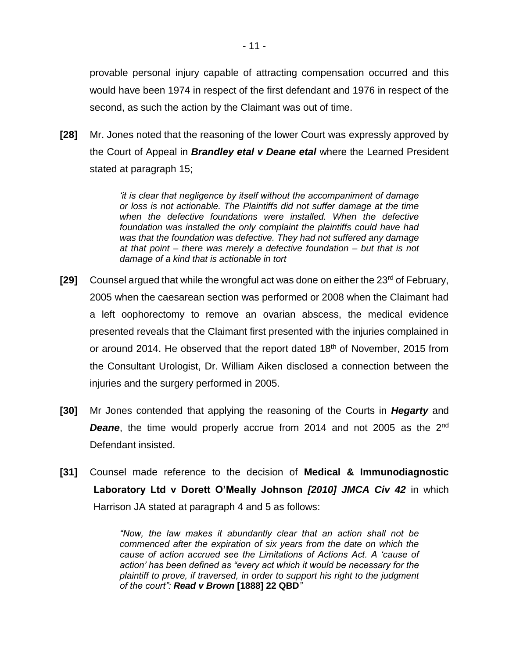provable personal injury capable of attracting compensation occurred and this would have been 1974 in respect of the first defendant and 1976 in respect of the second, as such the action by the Claimant was out of time.

**[28]** Mr. Jones noted that the reasoning of the lower Court was expressly approved by the Court of Appeal in *Brandley etal v Deane etal* where the Learned President stated at paragraph 15;

> *'it is clear that negligence by itself without the accompaniment of damage or loss is not actionable. The Plaintiffs did not suffer damage at the time*  when the defective foundations were installed. When the defective *foundation was installed the only complaint the plaintiffs could have had was that the foundation was defective. They had not suffered any damage at that point – there was merely a defective foundation – but that is not damage of a kind that is actionable in tort*

- **[29]** Counsel argued that while the wrongful act was done on either the 23<sup>rd</sup> of February, 2005 when the caesarean section was performed or 2008 when the Claimant had a left oophorectomy to remove an ovarian abscess, the medical evidence presented reveals that the Claimant first presented with the injuries complained in or around 2014. He observed that the report dated 18<sup>th</sup> of November, 2015 from the Consultant Urologist, Dr. William Aiken disclosed a connection between the injuries and the surgery performed in 2005.
- **[30]** Mr Jones contended that applying the reasoning of the Courts in *Hegarty* and **Deane**, the time would properly accrue from 2014 and not 2005 as the 2<sup>nd</sup> Defendant insisted.
- **[31]** Counsel made reference to the decision of **Medical & Immunodiagnostic Laboratory Ltd v Dorett O'Meally Johnson** *[2010] JMCA Civ 42* in which Harrison JA stated at paragraph 4 and 5 as follows:

*"Now, the law makes it abundantly clear that an action shall not be commenced after the expiration of six years from the date on which the cause of action accrued see the Limitations of Actions Act. A 'cause of action' has been defined as "every act which it would be necessary for the plaintiff to prove, if traversed, in order to support his right to the judgment of the court": Read v Brown* **[1888] 22 QBD***"*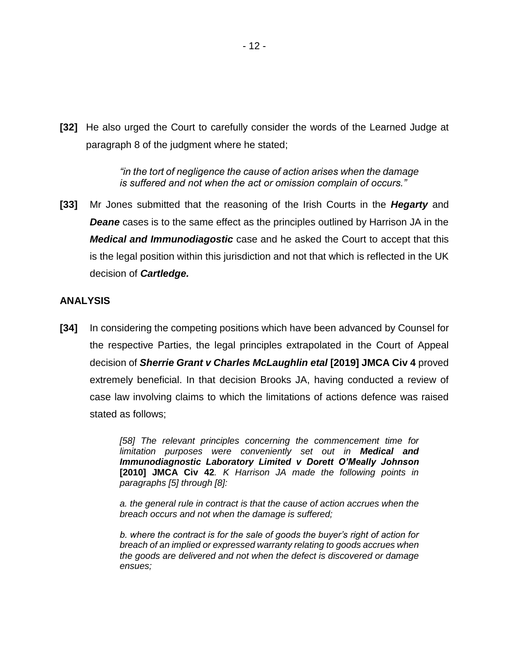**[32]** He also urged the Court to carefully consider the words of the Learned Judge at paragraph 8 of the judgment where he stated;

> *"in the tort of negligence the cause of action arises when the damage is suffered and not when the act or omission complain of occurs."*

**[33]** Mr Jones submitted that the reasoning of the Irish Courts in the *Hegarty* and **Deane** cases is to the same effect as the principles outlined by Harrison JA in the *Medical and Immunodiagostic* case and he asked the Court to accept that this is the legal position within this jurisdiction and not that which is reflected in the UK decision of *Cartledge.*

### **ANALYSIS**

**[34]** In considering the competing positions which have been advanced by Counsel for the respective Parties, the legal principles extrapolated in the Court of Appeal decision of *Sherrie Grant v Charles McLaughlin etal* **[2019] JMCA Civ 4** proved extremely beneficial. In that decision Brooks JA, having conducted a review of case law involving claims to which the limitations of actions defence was raised stated as follows;

> *[58] The relevant principles concerning the commencement time for limitation purposes were conveniently set out in Medical and Immunodiagnostic Laboratory Limited v Dorett O'Meally Johnson* **[2010] JMCA Civ 42***. K Harrison JA made the following points in paragraphs [5] through [8]:*

> *a. the general rule in contract is that the cause of action accrues when the breach occurs and not when the damage is suffered;*

> *b. where the contract is for the sale of goods the buyer's right of action for breach of an implied or expressed warranty relating to goods accrues when the goods are delivered and not when the defect is discovered or damage ensues;*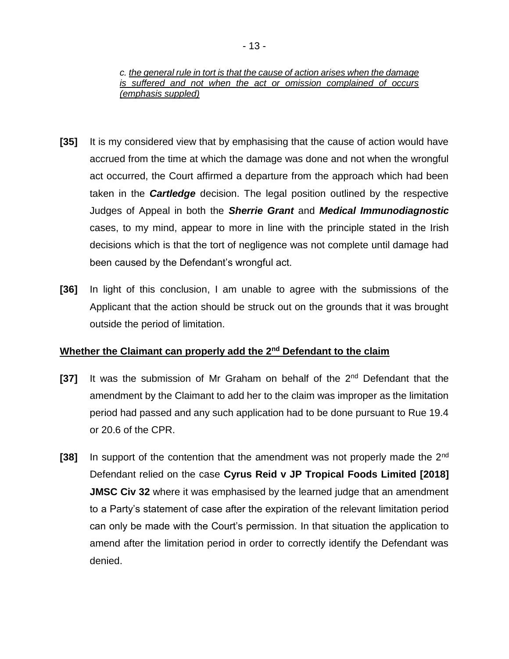### *c. the general rule in tort is that the cause of action arises when the damage is suffered and not when the act or omission complained of occurs (emphasis suppled)*

- **[35]** It is my considered view that by emphasising that the cause of action would have accrued from the time at which the damage was done and not when the wrongful act occurred, the Court affirmed a departure from the approach which had been taken in the *Cartledge* decision. The legal position outlined by the respective Judges of Appeal in both the *Sherrie Grant* and *Medical Immunodiagnostic* cases, to my mind, appear to more in line with the principle stated in the Irish decisions which is that the tort of negligence was not complete until damage had been caused by the Defendant's wrongful act.
- **[36]** In light of this conclusion, I am unable to agree with the submissions of the Applicant that the action should be struck out on the grounds that it was brought outside the period of limitation.

### **Whether the Claimant can properly add the 2nd Defendant to the claim**

- **[37]** It was the submission of Mr Graham on behalf of the 2nd Defendant that the amendment by the Claimant to add her to the claim was improper as the limitation period had passed and any such application had to be done pursuant to Rue 19.4 or 20.6 of the CPR.
- **[38]** In support of the contention that the amendment was not properly made the 2nd Defendant relied on the case **Cyrus Reid v JP Tropical Foods Limited [2018] JMSC Civ 32** where it was emphasised by the learned judge that an amendment to a Party's statement of case after the expiration of the relevant limitation period can only be made with the Court's permission. In that situation the application to amend after the limitation period in order to correctly identify the Defendant was denied.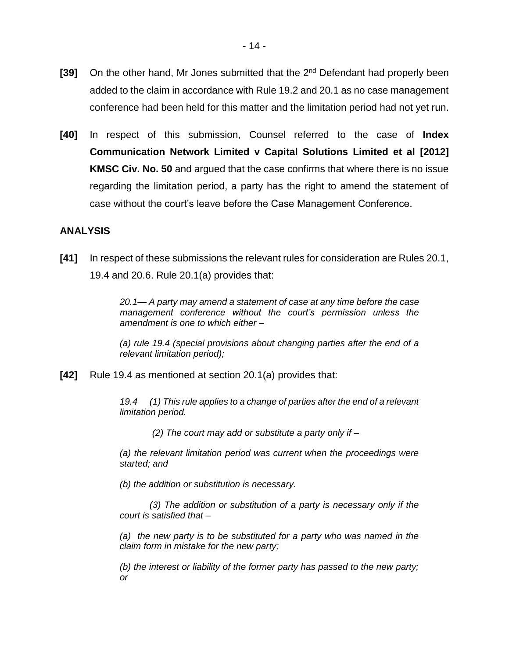- [39] On the other hand, Mr Jones submitted that the 2<sup>nd</sup> Defendant had properly been added to the claim in accordance with Rule 19.2 and 20.1 as no case management conference had been held for this matter and the limitation period had not yet run.
- **[40]** In respect of this submission, Counsel referred to the case of **Index Communication Network Limited v Capital Solutions Limited et al [2012] KMSC Civ. No. 50** and argued that the case confirms that where there is no issue regarding the limitation period, a party has the right to amend the statement of case without the court's leave before the Case Management Conference.

### **ANALYSIS**

**[41]** In respect of these submissions the relevant rules for consideration are Rules 20.1, 19.4 and 20.6. Rule 20.1(a) provides that:

> *20.1— A party may amend a statement of case at any time before the case management conference without the court's permission unless the amendment is one to which either –*

> *(a) rule 19.4 (special provisions about changing parties after the end of a relevant limitation period);*

**[42]** Rule 19.4 as mentioned at section 20.1(a) provides that:

*19.4 (1) This rule applies to a change of parties after the end of a relevant limitation period.*

*(2) The court may add or substitute a party only if –*

*(a) the relevant limitation period was current when the proceedings were started; and* 

*(b) the addition or substitution is necessary.* 

*(3) The addition or substitution of a party is necessary only if the court is satisfied that –*

*(a) the new party is to be substituted for a party who was named in the claim form in mistake for the new party;* 

*(b) the interest or liability of the former party has passed to the new party; or*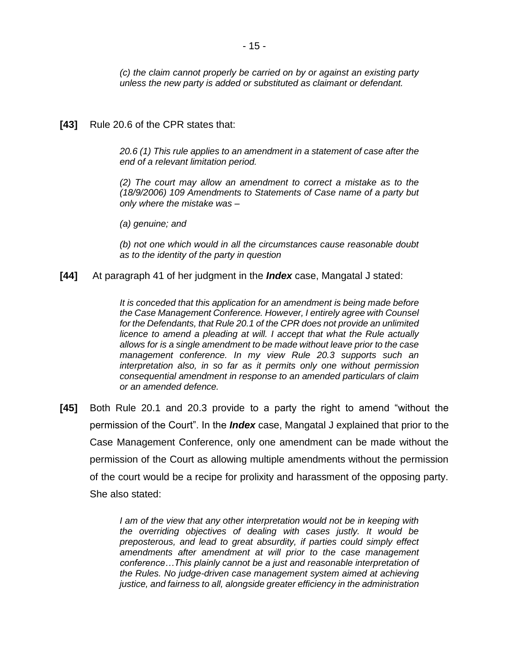*(c) the claim cannot properly be carried on by or against an existing party unless the new party is added or substituted as claimant or defendant.*

**[43]** Rule 20.6 of the CPR states that:

*20.6 (1) This rule applies to an amendment in a statement of case after the end of a relevant limitation period.* 

*(2) The court may allow an amendment to correct a mistake as to the (18/9/2006) 109 Amendments to Statements of Case name of a party but only where the mistake was –*

*(a) genuine; and* 

*(b) not one which would in all the circumstances cause reasonable doubt as to the identity of the party in question* 

**[44]** At paragraph 41 of her judgment in the *Index* case, Mangatal J stated:

*It is conceded that this application for an amendment is being made before the Case Management Conference. However, I entirely agree with Counsel for the Defendants, that Rule 20.1 of the CPR does not provide an unlimited licence to amend a pleading at will. I accept that what the Rule actually allows for is a single amendment to be made without leave prior to the case management conference. In my view Rule 20.3 supports such an interpretation also, in so far as it permits only one without permission consequential amendment in response to an amended particulars of claim or an amended defence.*

**[45]** Both Rule 20.1 and 20.3 provide to a party the right to amend "without the permission of the Court". In the *Index* case, Mangatal J explained that prior to the Case Management Conference, only one amendment can be made without the permission of the Court as allowing multiple amendments without the permission of the court would be a recipe for prolixity and harassment of the opposing party. She also stated:

> *I am of the view that any other interpretation would not be in keeping with the overriding objectives of dealing with cases justly. It would be preposterous, and lead to great absurdity, if parties could simply effect amendments after amendment at will prior to the case management conference…This plainly cannot be a just and reasonable interpretation of the Rules. No judge-driven case management system aimed at achieving justice, and fairness to all, alongside greater efficiency in the administration*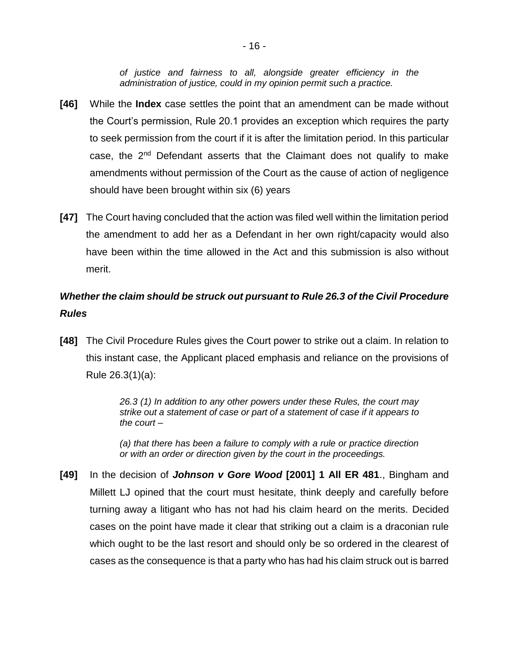*of justice and fairness to all, alongside greater efficiency in the administration of justice, could in my opinion permit such a practice.*

- **[46]** While the **Index** case settles the point that an amendment can be made without the Court's permission, Rule 20.1 provides an exception which requires the party to seek permission from the court if it is after the limitation period. In this particular case, the  $2<sup>nd</sup>$  Defendant asserts that the Claimant does not qualify to make amendments without permission of the Court as the cause of action of negligence should have been brought within six (6) years
- **[47]** The Court having concluded that the action was filed well within the limitation period the amendment to add her as a Defendant in her own right/capacity would also have been within the time allowed in the Act and this submission is also without merit.

## *Whether the claim should be struck out pursuant to Rule 26.3 of the Civil Procedure Rules*

**[48]** The Civil Procedure Rules gives the Court power to strike out a claim. In relation to this instant case, the Applicant placed emphasis and reliance on the provisions of Rule 26.3(1)(a):

> *26.3 (1) In addition to any other powers under these Rules, the court may strike out a statement of case or part of a statement of case if it appears to the court –*

> *(a) that there has been a failure to comply with a rule or practice direction or with an order or direction given by the court in the proceedings.*

**[49]** In the decision of *Johnson v Gore Wood* **[2001] 1 All ER 481**., Bingham and Millett LJ opined that the court must hesitate, think deeply and carefully before turning away a litigant who has not had his claim heard on the merits. Decided cases on the point have made it clear that striking out a claim is a draconian rule which ought to be the last resort and should only be so ordered in the clearest of cases as the consequence is that a party who has had his claim struck out is barred